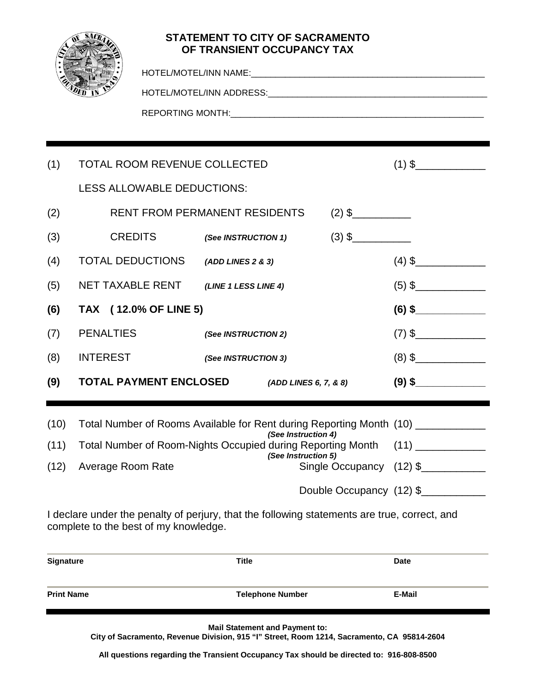

## **STATEMENT TO CITY OF SACRAMENTO OF TRANSIENT OCCUPANCY TAX**

| (1)  |                                                                                  |                                                                                                                             | <b>TOTAL ROOM REVENUE COLLECTED</b>          |  |  |                          |  |
|------|----------------------------------------------------------------------------------|-----------------------------------------------------------------------------------------------------------------------------|----------------------------------------------|--|--|--------------------------|--|
|      |                                                                                  | LESS ALLOWABLE DEDUCTIONS:                                                                                                  |                                              |  |  |                          |  |
| (2)  |                                                                                  |                                                                                                                             | <b>RENT FROM PERMANENT RESIDENTS</b>         |  |  |                          |  |
| (3)  | <b>CREDITS</b>                                                                   |                                                                                                                             | (See INSTRUCTION 1)                          |  |  |                          |  |
| (4)  |                                                                                  | <b>TOTAL DEDUCTIONS</b>                                                                                                     | (ADD LINES 2 & 3)                            |  |  |                          |  |
| (5)  |                                                                                  |                                                                                                                             | NET TAXABLE RENT (LINE 1 LESS LINE 4)        |  |  |                          |  |
| (6)  | TAX (12.0% OF LINE 5)                                                            |                                                                                                                             |                                              |  |  | $(6)$ \$                 |  |
| (7)  | <b>PENALTIES</b>                                                                 |                                                                                                                             | (See INSTRUCTION 2)                          |  |  |                          |  |
| (8)  | <b>INTEREST</b>                                                                  |                                                                                                                             | (See INSTRUCTION 3)                          |  |  |                          |  |
| (9)  |                                                                                  |                                                                                                                             | TOTAL PAYMENT ENCLOSED (ADD LINES 6, 7, & 8) |  |  | $(9)$ \$                 |  |
| (10) | Total Number of Rooms Available for Rent during Reporting Month (10) ___________ |                                                                                                                             |                                              |  |  |                          |  |
| (11) |                                                                                  | (See Instruction 4)<br>Total Number of Room-Nights Occupied during Reporting Month (11) ____________<br>(See Instruction 5) |                                              |  |  |                          |  |
| (12) | Average Room Rate                                                                |                                                                                                                             |                                              |  |  | Single Occupancy (12) \$ |  |
|      |                                                                                  |                                                                                                                             |                                              |  |  | Double Occupancy (12) \$ |  |
|      |                                                                                  |                                                                                                                             |                                              |  |  |                          |  |

I declare under the penalty of perjury, that the following statements are true, correct, and complete to the best of my knowledge.

| <b>Signature</b>  | <b>Title</b>            | <b>Date</b> |
|-------------------|-------------------------|-------------|
| <b>Print Name</b> | <b>Telephone Number</b> | E-Mail      |

**Mail Statement and Payment to:**

**City of Sacramento, Revenue Division, 915 "I" Street, Room 1214, Sacramento, CA 95814-2604**

**All questions regarding the Transient Occupancy Tax should be directed to: 916-808-8500**